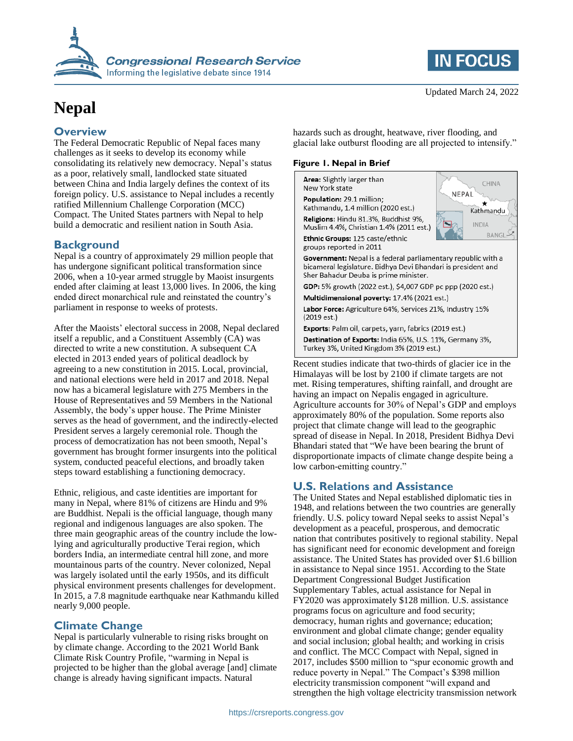

# **Nepal**

### **Overview**

The Federal Democratic Republic of Nepal faces many challenges as it seeks to develop its economy while consolidating its relatively new democracy. Nepal's status as a poor, relatively small, landlocked state situated between China and India largely defines the context of its foreign policy. U.S. assistance to Nepal includes a recently ratified Millennium Challenge Corporation (MCC) Compact. The United States partners with Nepal to help build a democratic and resilient nation in South Asia.

#### **Background**

Nepal is a country of approximately 29 million people that has undergone significant political transformation since 2006, when a 10-year armed struggle by Maoist insurgents ended after claiming at least 13,000 lives. In 2006, the king ended direct monarchical rule and reinstated the country's parliament in response to weeks of protests.

After the Maoists' electoral success in 2008, Nepal declared itself a republic, and a Constituent Assembly (CA) was directed to write a new constitution. A subsequent CA elected in 2013 ended years of political deadlock by agreeing to a new constitution in 2015. Local, provincial, and national elections were held in 2017 and 2018. Nepal now has a bicameral legislature with 275 Members in the House of Representatives and 59 Members in the National Assembly, the body's upper house. The Prime Minister serves as the head of government, and the indirectly-elected President serves a largely ceremonial role. Though the process of democratization has not been smooth, Nepal's government has brought former insurgents into the political system, conducted peaceful elections, and broadly taken steps toward establishing a functioning democracy.

Ethnic, religious, and caste identities are important for many in Nepal, where 81% of citizens are Hindu and 9% are Buddhist. Nepali is the official language, though many regional and indigenous languages are also spoken. The three main geographic areas of the country include the lowlying and agriculturally productive Terai region, which borders India, an intermediate central hill zone, and more mountainous parts of the country. Never colonized, Nepal was largely isolated until the early 1950s, and its difficult physical environment presents challenges for development. In 2015, a 7.8 magnitude earthquake near Kathmandu killed nearly 9,000 people.

## **Climate Change**

Nepal is particularly vulnerable to rising risks brought on by climate change. According to the 2021 World Bank Climate Risk Country Profile, "warming in Nepal is projected to be higher than the global average [and] climate change is already having significant impacts. Natural

**IN FOCUS** 

hazards such as drought, heatwave, river flooding, and glacial lake outburst flooding are all projected to intensify."

#### **Figure 1. Nepal in Brief**



Recent studies indicate that two-thirds of glacier ice in the Himalayas will be lost by 2100 if climate targets are not met. Rising temperatures, shifting rainfall, and drought are having an impact on Nepalis engaged in agriculture. Agriculture accounts for 30% of Nepal's GDP and employs approximately 80% of the population. Some reports also project that climate change will lead to the geographic spread of disease in Nepal. In 2018, President Bidhya Devi Bhandari stated that "We have been bearing the brunt of disproportionate impacts of climate change despite being a low carbon-emitting country."

# **U.S. Relations and Assistance**

The United States and Nepal established diplomatic ties in 1948, and relations between the two countries are generally friendly. U.S. policy toward Nepal seeks to assist Nepal's development as a peaceful, prosperous, and democratic nation that contributes positively to regional stability. Nepal has significant need for economic development and foreign assistance. The United States has provided over \$1.6 billion in assistance to Nepal since 1951. According to the State Department Congressional Budget Justification Supplementary Tables, actual assistance for Nepal in FY2020 was approximately \$128 million. U.S. assistance programs focus on agriculture and food security; democracy, human rights and governance; education; environment and global climate change; gender equality and social inclusion; global health; and working in crisis and conflict. The MCC Compact with Nepal, signed in 2017, includes \$500 million to "spur economic growth and reduce poverty in Nepal." The Compact's \$398 million electricity transmission component "will expand and strengthen the high voltage electricity transmission network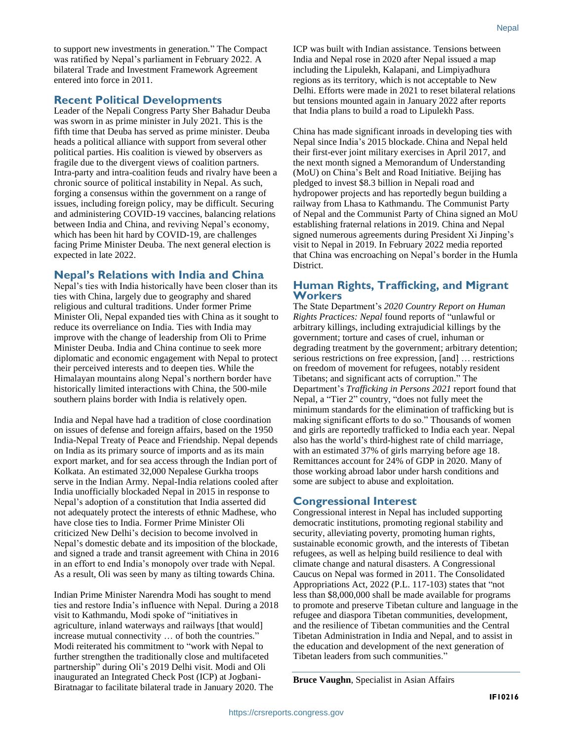to support new investments in generation." The Compact was ratified by Nepal's parliament in February 2022. A bilateral Trade and Investment Framework Agreement entered into force in 2011.

#### **Recent Political Developments**

Leader of the Nepali Congress Party Sher Bahadur Deuba was sworn in as prime minister in July 2021. This is the fifth time that Deuba has served as prime minister. Deuba heads a political alliance with support from several other political parties. His coalition is viewed by observers as fragile due to the divergent views of coalition partners. Intra-party and intra-coalition feuds and rivalry have been a chronic source of political instability in Nepal. As such, forging a consensus within the government on a range of issues, including foreign policy, may be difficult. Securing and administering COVID-19 vaccines, balancing relations between India and China, and reviving Nepal's economy, which has been hit hard by COVID-19, are challenges facing Prime Minister Deuba. The next general election is expected in late 2022.

#### **Nepal's Relations with India and China**

Nepal's ties with India historically have been closer than its ties with China, largely due to geography and shared religious and cultural traditions. Under former Prime Minister Oli, Nepal expanded ties with China as it sought to reduce its overreliance on India. Ties with India may improve with the change of leadership from Oli to Prime Minister Deuba. India and China continue to seek more diplomatic and economic engagement with Nepal to protect their perceived interests and to deepen ties. While the Himalayan mountains along Nepal's northern border have historically limited interactions with China, the 500-mile southern plains border with India is relatively open.

India and Nepal have had a tradition of close coordination on issues of defense and foreign affairs, based on the 1950 India-Nepal Treaty of Peace and Friendship. Nepal depends on India as its primary source of imports and as its main export market, and for sea access through the Indian port of Kolkata. An estimated 32,000 Nepalese Gurkha troops serve in the Indian Army. Nepal-India relations cooled after India unofficially blockaded Nepal in 2015 in response to Nepal's adoption of a constitution that India asserted did not adequately protect the interests of ethnic Madhese, who have close ties to India. Former Prime Minister Oli criticized New Delhi's decision to become involved in Nepal's domestic debate and its imposition of the blockade, and signed a trade and transit agreement with China in 2016 in an effort to end India's monopoly over trade with Nepal. As a result, Oli was seen by many as tilting towards China.

Indian Prime Minister Narendra Modi has sought to mend ties and restore India's influence with Nepal. During a 2018 visit to Kathmandu, Modi spoke of "initiatives in agriculture, inland waterways and railways [that would] increase mutual connectivity … of both the countries." Modi reiterated his commitment to "work with Nepal to further strengthen the traditionally close and multifaceted partnership" during Oli's 2019 Delhi visit. Modi and Oli inaugurated an Integrated Check Post (ICP) at Jogbani-Biratnagar to facilitate bilateral trade in January 2020. The

ICP was built with Indian assistance. Tensions between India and Nepal rose in 2020 after Nepal issued a map including the Lipulekh, Kalapani, and Limpiyadhura regions as its territory, which is not acceptable to New Delhi. Efforts were made in 2021 to reset bilateral relations but tensions mounted again in January 2022 after reports that India plans to build a road to Lipulekh Pass.

China has made significant inroads in developing ties with Nepal since India's 2015 blockade. China and Nepal held their first-ever joint military exercises in April 2017, and the next month signed a Memorandum of Understanding (MoU) on China's Belt and Road Initiative. Beijing has pledged to invest \$8.3 billion in Nepali road and hydropower projects and has reportedly begun building a railway from Lhasa to Kathmandu. The Communist Party of Nepal and the Communist Party of China signed an MoU establishing fraternal relations in 2019. China and Nepal signed numerous agreements during President Xi Jinping's visit to Nepal in 2019. In February 2022 media reported that China was encroaching on Nepal's border in the Humla District.

#### **Human Rights, Trafficking, and Migrant Workers**

The State Department's *2020 Country Report on Human Rights Practices: Nepal* found reports of "unlawful or arbitrary killings, including extrajudicial killings by the government; torture and cases of cruel, inhuman or degrading treatment by the government; arbitrary detention; serious restrictions on free expression, [and] … restrictions on freedom of movement for refugees, notably resident Tibetans; and significant acts of corruption." The Department's *Trafficking in Persons 2021* report found that Nepal, a "Tier 2" country, "does not fully meet the minimum standards for the elimination of trafficking but is making significant efforts to do so." Thousands of women and girls are reportedly trafficked to India each year. Nepal also has the world's third-highest rate of child marriage, with an estimated 37% of girls marrying before age 18. Remittances account for 24% of GDP in 2020. Many of those working abroad labor under harsh conditions and some are subject to abuse and exploitation.

#### **Congressional Interest**

Congressional interest in Nepal has included supporting democratic institutions, promoting regional stability and security, alleviating poverty, promoting human rights, sustainable economic growth, and the interests of Tibetan refugees, as well as helping build resilience to deal with climate change and natural disasters. A Congressional Caucus on Nepal was formed in 2011. The Consolidated Appropriations Act, 2022 (P.L. 117-103) states that "not less than \$8,000,000 shall be made available for programs to promote and preserve Tibetan culture and language in the refugee and diaspora Tibetan communities, development, and the resilience of Tibetan communities and the Central Tibetan Administration in India and Nepal, and to assist in the education and development of the next generation of Tibetan leaders from such communities."

**Bruce Vaughn**, Specialist in Asian Affairs